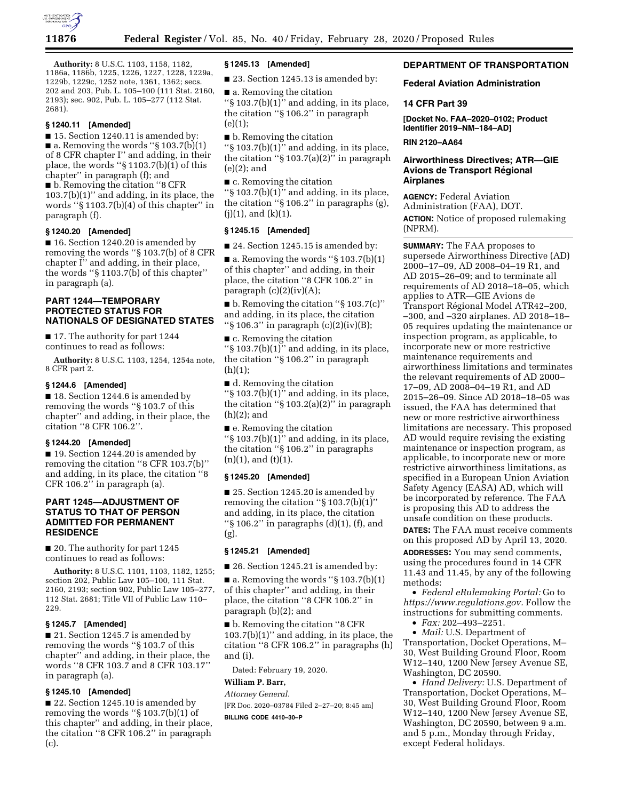

**Authority:** 8 U.S.C. 1103, 1158, 1182, 1186a, 1186b, 1225, 1226, 1227, 1228, 1229a, 1229b, 1229c, 1252 note, 1361, 1362; secs. 202 and 203, Pub. L. 105–100 (111 Stat. 2160, 2193); sec. 902, Pub. L. 105–277 (112 Stat. 2681).

## **§ 1240.11 [Amended]**

■ 15. Section 1240.11 is amended by:  $\blacksquare$  a. Removing the words "§ 103.7(b)(1) of 8 CFR chapter I'' and adding, in their place, the words ''§ 1103.7(b)(1) of this chapter'' in paragraph (f); and ■ b. Removing the citation "8 CFR 103.7(b)(1)'' and adding, in its place, the words ''§ 1103.7(b)(4) of this chapter'' in paragraph (f).

# **§ 1240.20 [Amended]**

■ 16. Section 1240.20 is amended by removing the words ''§ 103.7(b) of 8 CFR chapter I'' and adding, in their place, the words ''§ 1103.7(b) of this chapter'' in paragraph (a).

# **PART 1244—TEMPORARY PROTECTED STATUS FOR NATIONALS OF DESIGNATED STATES**

■ 17. The authority for part 1244 continues to read as follows:

**Authority:** 8 U.S.C. 1103, 1254, 1254a note, 8 CFR part 2.

#### **§ 1244.6 [Amended]**

■ 18. Section 1244.6 is amended by removing the words ''§ 103.7 of this chapter'' and adding, in their place, the citation ''8 CFR 106.2''.

## **§ 1244.20 [Amended]**

■ 19. Section 1244.20 is amended by removing the citation ''8 CFR 103.7(b)'' and adding, in its place, the citation ''8 CFR 106.2'' in paragraph (a).

# **PART 1245—ADJUSTMENT OF STATUS TO THAT OF PERSON ADMITTED FOR PERMANENT RESIDENCE**

■ 20. The authority for part 1245 continues to read as follows:

**Authority:** 8 U.S.C. 1101, 1103, 1182, 1255; section 202, Public Law 105–100, 111 Stat. 2160, 2193; section 902, Public Law 105–277, 112 Stat. 2681; Title VII of Public Law 110– 229.

## **§ 1245.7 [Amended]**

■ 21. Section 1245.7 is amended by removing the words ''§ 103.7 of this chapter'' and adding, in their place, the words ''8 CFR 103.7 and 8 CFR 103.17'' in paragraph (a).

# **§ 1245.10 [Amended]**

■ 22. Section 1245.10 is amended by removing the words ''§ 103.7(b)(1) of this chapter'' and adding, in their place, the citation ''8 CFR 106.2'' in paragraph (c).

## **§ 1245.13 [Amended]**

■ 23. Section 1245.13 is amended by:

■ a. Removing the citation ''§ 103.7(b)(1)'' and adding, in its place, the citation ''§ 106.2'' in paragraph  $(e)(1)$ ;

■ b. Removing the citation " $\S$  103.7(b)(1)" and adding, in its place, the citation " $\S 103.7(a)(2)$ " in paragraph (e)(2); and

■ c. Removing the citation ''§ 103.7(b)(1)'' and adding, in its place, the citation ''§ 106.2'' in paragraphs (g),  $(i)(1)$ , and  $(k)(1)$ .

# **§ 1245.15 [Amended]**

■ 24. Section 1245.15 is amended by:

 $\blacksquare$  a. Removing the words "§ 103.7(b)(1) of this chapter'' and adding, in their place, the citation ''8 CFR 106.2'' in paragraph  $(c)(2)(iv)(A);$ 

 $\blacksquare$  b. Removing the citation "§ 103.7(c)" and adding, in its place, the citation ''§ 106.3'' in paragraph (c)(2)(iv)(B);

■ c. Removing the citation  $\frac{1}{5}$  103.7(b)(1)" and adding, in its place, the citation ''§ 106.2'' in paragraph (h)(1);

■ d. Removing the citation ''§ 103.7(b)(1)'' and adding, in its place, the citation ''§ 103.2(a)(2)'' in paragraph (h)(2); and

■ e. Removing the citation ''§ 103.7(b)(1)'' and adding, in its place, the citation ''§ 106.2'' in paragraphs  $(n)(1)$ , and  $(t)(1)$ .

## **§ 1245.20 [Amended]**

■ 25. Section 1245.20 is amended by removing the citation ''§ 103.7(b)(1)'' and adding, in its place, the citation " $\S$  106.2" in paragraphs (d)(1), (f), and (g).

### **§ 1245.21 [Amended]**

■ 26. Section 1245.21 is amended by:

 $\blacksquare$  a. Removing the words "§ 103.7(b)(1) of this chapter'' and adding, in their place, the citation ''8 CFR 106.2'' in paragraph (b)(2); and

■ b. Removing the citation "8 CFR  $103.7(b)(1)$ " and adding, in its place, the citation ''8 CFR 106.2'' in paragraphs (h) and (i).

Dated: February 19, 2020.

# **William P. Barr,**

*Attorney General.*  [FR Doc. 2020–03784 Filed 2–27–20; 8:45 am] **BILLING CODE 4410–30–P** 

# **DEPARTMENT OF TRANSPORTATION**

## **Federal Aviation Administration**

### **14 CFR Part 39**

**[Docket No. FAA–2020–0102; Product Identifier 2019–NM–184–AD]** 

#### **RIN 2120–AA64**

# **Airworthiness Directives; ATR—GIE Avions de Transport Régional Airplanes**

**AGENCY:** Federal Aviation Administration (FAA), DOT. **ACTION:** Notice of proposed rulemaking (NPRM).

**SUMMARY:** The FAA proposes to supersede Airworthiness Directive (AD) 2000–17–09, AD 2008–04–19 R1, and AD 2015–26–09; and to terminate all requirements of AD 2018–18–05, which applies to ATR—GIE Avions de Transport Régional Model ATR42–200, –300, and –320 airplanes. AD 2018–18– 05 requires updating the maintenance or inspection program, as applicable, to incorporate new or more restrictive maintenance requirements and airworthiness limitations and terminates the relevant requirements of AD 2000– 17–09, AD 2008–04–19 R1, and AD 2015–26–09. Since AD 2018–18–05 was issued, the FAA has determined that new or more restrictive airworthiness limitations are necessary. This proposed AD would require revising the existing maintenance or inspection program, as applicable, to incorporate new or more restrictive airworthiness limitations, as specified in a European Union Aviation Safety Agency (EASA) AD, which will be incorporated by reference. The FAA is proposing this AD to address the unsafe condition on these products.

**DATES:** The FAA must receive comments on this proposed AD by April 13, 2020.

**ADDRESSES:** You may send comments, using the procedures found in 14 CFR 11.43 and 11.45, by any of the following methods:

• *Federal eRulemaking Portal:* Go to *[https://www.regulations.gov.](https://www.regulations.gov)* Follow the instructions for submitting comments.

• *Fax:* 202–493–2251.

• *Mail:* U.S. Department of Transportation, Docket Operations, M– 30, West Building Ground Floor, Room W12–140, 1200 New Jersey Avenue SE, Washington, DC 20590.

• *Hand Delivery:* U.S. Department of Transportation, Docket Operations, M– 30, West Building Ground Floor, Room W12–140, 1200 New Jersey Avenue SE, Washington, DC 20590, between 9 a.m. and 5 p.m., Monday through Friday, except Federal holidays.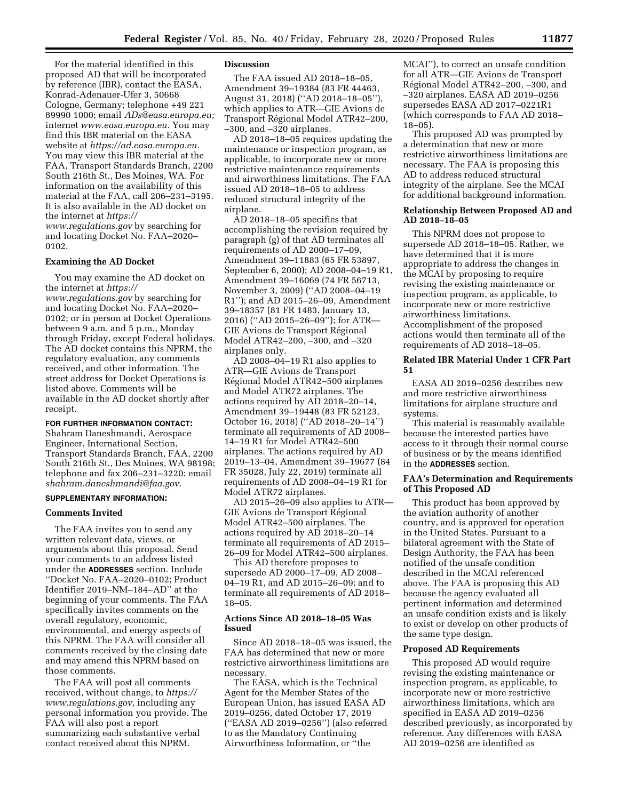For the material identified in this proposed AD that will be incorporated by reference (IBR), contact the EASA, Konrad-Adenauer-Ufer 3, 50668 Cologne, Germany; telephone +49 221 89990 1000; email *[ADs@easa.europa.eu;](mailto:ADs@easa.europa.eu)*  internet *[www.easa.europa.eu.](http://www.easa.europa.eu)* You may find this IBR material on the EASA website at *[https://ad.easa.europa.eu.](https://ad.easa.europa.eu)*  You may view this IBR material at the FAA, Transport Standards Branch, 2200 South 216th St., Des Moines, WA. For information on the availability of this material at the FAA, call 206–231–3195. It is also available in the AD docket on the internet at *[https://](https://www.regulations.gov)*

*[www.regulations.gov](https://www.regulations.gov)* by searching for and locating Docket No. FAA–2020– 0102.

# **Examining the AD Docket**

You may examine the AD docket on the internet at *[https://](https://www.regulations.gov) [www.regulations.gov](https://www.regulations.gov)* by searching for and locating Docket No. FAA–2020– 0102; or in person at Docket Operations between 9 a.m. and 5 p.m., Monday through Friday, except Federal holidays. The AD docket contains this NPRM, the regulatory evaluation, any comments received, and other information. The street address for Docket Operations is listed above. Comments will be available in the AD docket shortly after receipt.

#### **FOR FURTHER INFORMATION CONTACT:**

Shahram Daneshmandi, Aerospace Engineer, International Section, Transport Standards Branch, FAA, 2200 South 216th St., Des Moines, WA 98198; telephone and fax 206–231–3220; email *[shahram.daneshmandi@faa.gov.](mailto:shahram.daneshmandi@faa.gov)* 

### **SUPPLEMENTARY INFORMATION:**

#### **Comments Invited**

The FAA invites you to send any written relevant data, views, or arguments about this proposal. Send your comments to an address listed under the **ADDRESSES** section. Include ''Docket No. FAA–2020–0102; Product Identifier 2019–NM–184–AD'' at the beginning of your comments. The FAA specifically invites comments on the overall regulatory, economic, environmental, and energy aspects of this NPRM. The FAA will consider all comments received by the closing date and may amend this NPRM based on those comments.

The FAA will post all comments received, without change, to *[https://](https://www.regulations.gov) [www.regulations.gov,](https://www.regulations.gov)* including any personal information you provide. The FAA will also post a report summarizing each substantive verbal contact received about this NPRM.

### **Discussion**

The FAA issued AD 2018–18–05, Amendment 39–19384 (83 FR 44463, August 31, 2018) (''AD 2018–18–05''), which applies to ATR—GIE Avions de Transport Régional Model ATR42-200, –300, and –320 airplanes.

AD 2018–18–05 requires updating the maintenance or inspection program, as applicable, to incorporate new or more restrictive maintenance requirements and airworthiness limitations. The FAA issued AD 2018–18–05 to address reduced structural integrity of the airplane.

AD 2018–18–05 specifies that accomplishing the revision required by paragraph (g) of that AD terminates all requirements of AD 2000–17–09, Amendment 39–11883 (65 FR 53897, September 6, 2000); AD 2008–04–19 R1, Amendment 39–16069 (74 FR 56713, November 3, 2009) (''AD 2008–04–19 R1''); and AD 2015–26–09, Amendment 39–18357 (81 FR 1483, January 13, 2016) (''AD 2015–26–09''); for ATR— GIE Avions de Transport Régional Model ATR42–200, –300, and –320 airplanes only.

AD 2008–04–19 R1 also applies to ATR—GIE Avions de Transport Régional Model ATR42–500 airplanes and Model ATR72 airplanes. The actions required by AD 2018–20–14, Amendment 39–19448 (83 FR 52123, October 16, 2018) (''AD 2018–20–14'') terminate all requirements of AD 2008– 14–19 R1 for Model ATR42–500 airplanes. The actions required by AD 2019–13–04, Amendment 39–19677 (84 FR 35028, July 22, 2019) terminate all requirements of AD 2008–04–19 R1 for Model ATR72 airplanes.

AD 2015–26–09 also applies to ATR— GIE Avions de Transport Régional Model ATR42–500 airplanes. The actions required by AD 2018–20–14 terminate all requirements of AD 2015– 26–09 for Model ATR42–500 airplanes.

This AD therefore proposes to supersede AD 2000–17–09, AD 2008– 04–19 R1, and AD 2015–26–09; and to terminate all requirements of AD 2018– 18–05.

### **Actions Since AD 2018–18–05 Was Issued**

Since AD 2018–18–05 was issued, the FAA has determined that new or more restrictive airworthiness limitations are necessary.

The EASA, which is the Technical Agent for the Member States of the European Union, has issued EASA AD 2019–0256, dated October 17, 2019 (''EASA AD 2019–0256'') (also referred to as the Mandatory Continuing Airworthiness Information, or ''the

MCAI''), to correct an unsafe condition for all ATR—GIE Avions de Transport Régional Model ATR42–200, –300, and –320 airplanes. EASA AD 2019–0256 supersedes EASA AD 2017–0221R1 (which corresponds to FAA AD 2018– 18–05).

This proposed AD was prompted by a determination that new or more restrictive airworthiness limitations are necessary. The FAA is proposing this AD to address reduced structural integrity of the airplane. See the MCAI for additional background information.

## **Relationship Between Proposed AD and AD 2018–18–05**

This NPRM does not propose to supersede AD 2018–18–05. Rather, we have determined that it is more appropriate to address the changes in the MCAI by proposing to require revising the existing maintenance or inspection program, as applicable, to incorporate new or more restrictive airworthiness limitations. Accomplishment of the proposed actions would then terminate all of the requirements of AD 2018–18–05.

# **Related IBR Material Under 1 CFR Part 51**

EASA AD 2019–0256 describes new and more restrictive airworthiness limitations for airplane structure and systems.

This material is reasonably available because the interested parties have access to it through their normal course of business or by the means identified in the **ADDRESSES** section.

## **FAA's Determination and Requirements of This Proposed AD**

This product has been approved by the aviation authority of another country, and is approved for operation in the United States. Pursuant to a bilateral agreement with the State of Design Authority, the FAA has been notified of the unsafe condition described in the MCAI referenced above. The FAA is proposing this AD because the agency evaluated all pertinent information and determined an unsafe condition exists and is likely to exist or develop on other products of the same type design.

### **Proposed AD Requirements**

This proposed AD would require revising the existing maintenance or inspection program, as applicable, to incorporate new or more restrictive airworthiness limitations, which are specified in EASA AD 2019–0256 described previously, as incorporated by reference. Any differences with EASA AD 2019–0256 are identified as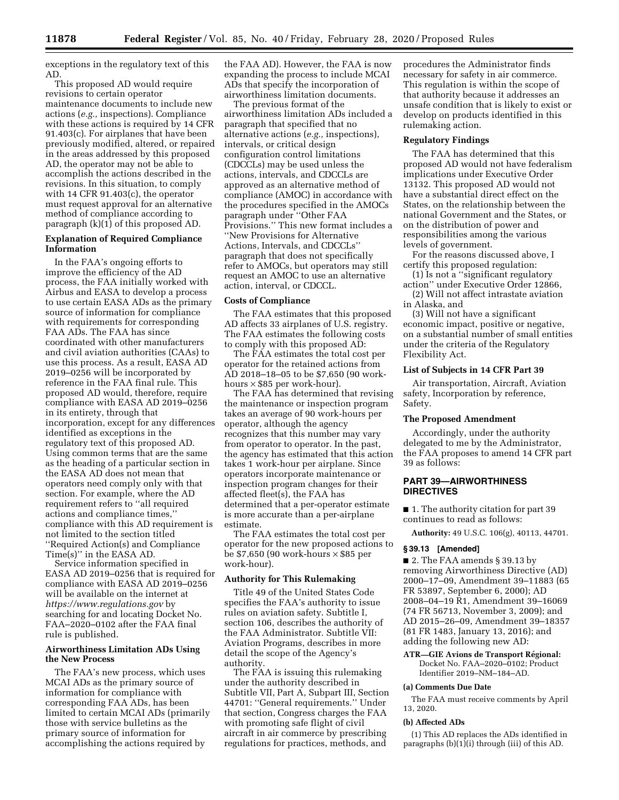exceptions in the regulatory text of this AD.

This proposed AD would require revisions to certain operator maintenance documents to include new actions (*e.g.,* inspections). Compliance with these actions is required by 14 CFR 91.403(c). For airplanes that have been previously modified, altered, or repaired in the areas addressed by this proposed AD, the operator may not be able to accomplish the actions described in the revisions. In this situation, to comply with 14 CFR 91.403(c), the operator must request approval for an alternative method of compliance according to paragraph (k)(1) of this proposed AD.

## **Explanation of Required Compliance Information**

In the FAA's ongoing efforts to improve the efficiency of the AD process, the FAA initially worked with Airbus and EASA to develop a process to use certain EASA ADs as the primary source of information for compliance with requirements for corresponding FAA ADs. The FAA has since coordinated with other manufacturers and civil aviation authorities (CAAs) to use this process. As a result, EASA AD 2019–0256 will be incorporated by reference in the FAA final rule. This proposed AD would, therefore, require compliance with EASA AD 2019–0256 in its entirety, through that incorporation, except for any differences identified as exceptions in the regulatory text of this proposed AD. Using common terms that are the same as the heading of a particular section in the EASA AD does not mean that operators need comply only with that section. For example, where the AD requirement refers to ''all required actions and compliance times,'' compliance with this AD requirement is not limited to the section titled ''Required Action(s) and Compliance Time(s)'' in the EASA AD.

Service information specified in EASA AD 2019–0256 that is required for compliance with EASA AD 2019–0256 will be available on the internet at *<https://www.regulations.gov>* by searching for and locating Docket No. FAA–2020–0102 after the FAA final rule is published.

## **Airworthiness Limitation ADs Using the New Process**

The FAA's new process, which uses MCAI ADs as the primary source of information for compliance with corresponding FAA ADs, has been limited to certain MCAI ADs (primarily those with service bulletins as the primary source of information for accomplishing the actions required by

the FAA AD). However, the FAA is now expanding the process to include MCAI ADs that specify the incorporation of airworthiness limitation documents.

The previous format of the airworthiness limitation ADs included a paragraph that specified that no alternative actions (*e.g.,* inspections), intervals, or critical design configuration control limitations (CDCCLs) may be used unless the actions, intervals, and CDCCLs are approved as an alternative method of compliance (AMOC) in accordance with the procedures specified in the AMOCs paragraph under ''Other FAA Provisions.'' This new format includes a ''New Provisions for Alternative Actions, Intervals, and CDCCLs'' paragraph that does not specifically refer to AMOCs, but operators may still request an AMOC to use an alternative action, interval, or CDCCL.

## **Costs of Compliance**

The FAA estimates that this proposed AD affects 33 airplanes of U.S. registry. The FAA estimates the following costs to comply with this proposed AD:

The FAA estimates the total cost per operator for the retained actions from AD 2018–18–05 to be \$7,650 (90 workhours  $\times$  \$85 per work-hour).

The FAA has determined that revising the maintenance or inspection program takes an average of 90 work-hours per operator, although the agency recognizes that this number may vary from operator to operator. In the past, the agency has estimated that this action takes 1 work-hour per airplane. Since operators incorporate maintenance or inspection program changes for their affected fleet(s), the FAA has determined that a per-operator estimate is more accurate than a per-airplane estimate.

The FAA estimates the total cost per operator for the new proposed actions to be \$7,650 (90 work-hours × \$85 per work-hour).

# **Authority for This Rulemaking**

Title 49 of the United States Code specifies the FAA's authority to issue rules on aviation safety. Subtitle I, section 106, describes the authority of the FAA Administrator. Subtitle VII: Aviation Programs, describes in more detail the scope of the Agency's authority.

The FAA is issuing this rulemaking under the authority described in Subtitle VII, Part A, Subpart III, Section 44701: ''General requirements.'' Under that section, Congress charges the FAA with promoting safe flight of civil aircraft in air commerce by prescribing regulations for practices, methods, and

procedures the Administrator finds necessary for safety in air commerce. This regulation is within the scope of that authority because it addresses an unsafe condition that is likely to exist or develop on products identified in this rulemaking action.

#### **Regulatory Findings**

The FAA has determined that this proposed AD would not have federalism implications under Executive Order 13132. This proposed AD would not have a substantial direct effect on the States, on the relationship between the national Government and the States, or on the distribution of power and responsibilities among the various levels of government.

For the reasons discussed above, I certify this proposed regulation:

(1) Is not a ''significant regulatory action'' under Executive Order 12866,

(2) Will not affect intrastate aviation in Alaska, and

(3) Will not have a significant economic impact, positive or negative, on a substantial number of small entities under the criteria of the Regulatory Flexibility Act.

#### **List of Subjects in 14 CFR Part 39**

Air transportation, Aircraft, Aviation safety, Incorporation by reference, Safety.

#### **The Proposed Amendment**

Accordingly, under the authority delegated to me by the Administrator, the FAA proposes to amend 14 CFR part 39 as follows:

# **PART 39—AIRWORTHINESS DIRECTIVES**

■ 1. The authority citation for part 39 continues to read as follows:

**Authority:** 49 U.S.C. 106(g), 40113, 44701.

## **§ 39.13 [Amended]**

■ 2. The FAA amends § 39.13 by removing Airworthiness Directive (AD) 2000–17–09, Amendment 39–11883 (65 FR 53897, September 6, 2000); AD 2008–04–19 R1, Amendment 39–16069 (74 FR 56713, November 3, 2009); and AD 2015–26–09, Amendment 39–18357 (81 FR 1483, January 13, 2016); and adding the following new AD:

**ATR-GIE Avions de Transport Régional:** Docket No. FAA-2020-0102; Product Identifier 2019–NM–184–AD.

#### **(a) Comments Due Date**

The FAA must receive comments by April 13, 2020.

#### **(b) Affected ADs**

(1) This AD replaces the ADs identified in paragraphs  $(b)(1)(i)$  through (iii) of this AD.